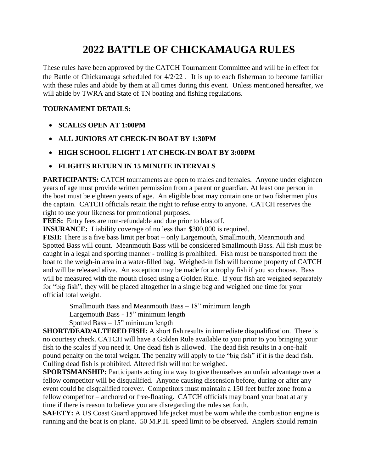## **2022 BATTLE OF CHICKAMAUGA RULES**

These rules have been approved by the CATCH Tournament Committee and will be in effect for the Battle of Chickamauga scheduled for 4/2/22 . It is up to each fisherman to become familiar with these rules and abide by them at all times during this event. Unless mentioned hereafter, we will abide by TWRA and State of TN boating and fishing regulations.

## **TOURNAMENT DETAILS:**

- **SCALES OPEN AT 1:00PM**
- **ALL JUNIORS AT CHECK-IN BOAT BY 1:30PM**
- **HIGH SCHOOL FLIGHT 1 AT CHECK-IN BOAT BY 3:00PM**
- **FLIGHTS RETURN IN 15 MINUTE INTERVALS**

**PARTICIPANTS:** CATCH tournaments are open to males and females. Anyone under eighteen years of age must provide written permission from a parent or guardian. At least one person in the boat must be eighteen years of age. An eligible boat may contain one or two fishermen plus the captain. CATCH officials retain the right to refuse entry to anyone. CATCH reserves the right to use your likeness for promotional purposes.

**FEES:** Entry fees are non-refundable and due prior to blastoff.

**INSURANCE:** Liability coverage of no less than \$300,000 is required.

**FISH:** There is a five bass limit per boat – only Largemouth, Smallmouth, Meanmouth and Spotted Bass will count. Meanmouth Bass will be considered Smallmouth Bass. All fish must be caught in a legal and sporting manner - trolling is prohibited. Fish must be transported from the boat to the weigh-in area in a water-filled bag. Weighed-in fish will become property of CATCH and will be released alive. An exception may be made for a trophy fish if you so choose. Bass will be measured with the mouth closed using a Golden Rule. If your fish are weighed separately for "big fish", they will be placed altogether in a single bag and weighed one time for your official total weight.

Smallmouth Bass and Meanmouth Bass – 18" minimum length Largemouth Bass - 15" minimum length

Spotted Bass  $-15$ " minimum length

**SHORT/DEAD/ALTERED FISH:** A short fish results in immediate disqualification. There is no courtesy check. CATCH will have a Golden Rule available to you prior to you bringing your fish to the scales if you need it. One dead fish is allowed. The dead fish results in a one-half pound penalty on the total weight. The penalty will apply to the "big fish" if it is the dead fish. Culling dead fish is prohibited. Altered fish will not be weighed.

**SPORTSMANSHIP:** Participants acting in a way to give themselves an unfair advantage over a fellow competitor will be disqualified. Anyone causing dissension before, during or after any event could be disqualified forever. Competitors must maintain a 150 feet buffer zone from a fellow competitor – anchored or free-floating. CATCH officials may board your boat at any time if there is reason to believe you are disregarding the rules set forth.

**SAFETY:** A US Coast Guard approved life jacket must be worn while the combustion engine is running and the boat is on plane. 50 M.P.H. speed limit to be observed. Anglers should remain